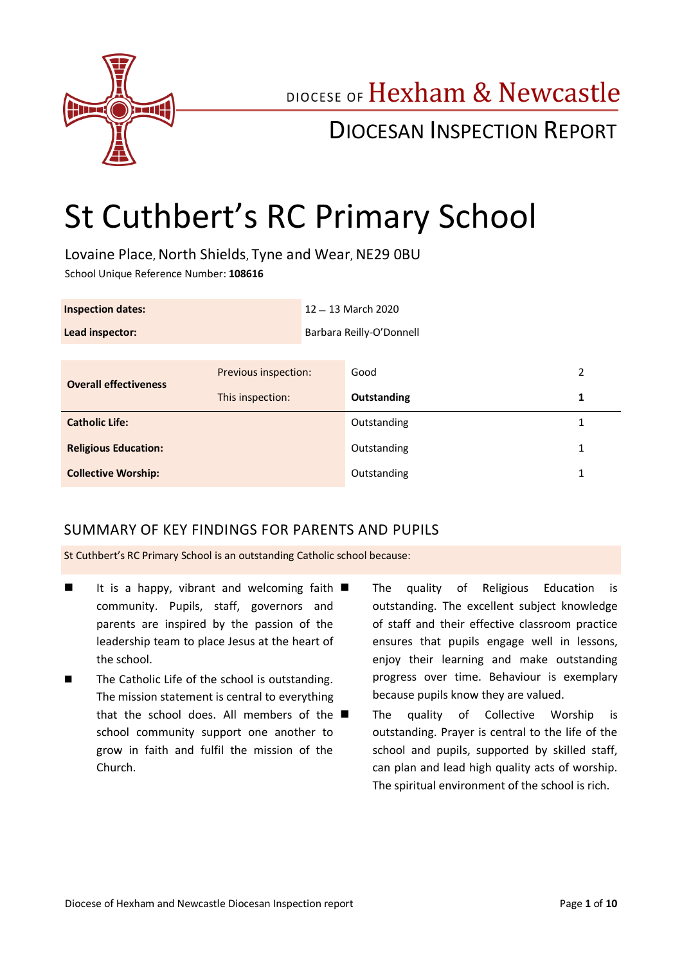

## DIOCESE OF Hexham & Newcastle

## DIOCESAN INSPECTION REPORT

# St Cuthbert's RC Primary School

Lovaine Place, North Shields, Tyne and Wear, NE29 0BU School Unique Reference Number: **108616**

| <b>Inspection dates:</b>     |                      | 12 - 13 March 2020       |             |              |
|------------------------------|----------------------|--------------------------|-------------|--------------|
| Lead inspector:              |                      | Barbara Reilly-O'Donnell |             |              |
|                              |                      |                          |             |              |
| <b>Overall effectiveness</b> | Previous inspection: |                          | Good        | 2            |
|                              | This inspection:     |                          | Outstanding | 1            |
| <b>Catholic Life:</b>        |                      |                          | Outstanding | 1            |
| <b>Religious Education:</b>  |                      |                          | Outstanding | $\mathbf{1}$ |
| <b>Collective Worship:</b>   |                      |                          | Outstanding | 1            |

### SUMMARY OF KEY FINDINGS FOR PARENTS AND PUPILS

St Cuthbert's RC Primary School is an outstanding Catholic school because:

- If is a happy, vibrant and welcoming faith  $\blacksquare$ community. Pupils, staff, governors and parents are inspired by the passion of the leadership team to place Jesus at the heart of the school.
- The Catholic Life of the school is outstanding. The mission statement is central to everything that the school does. All members of the  $\blacksquare$ school community support one another to grow in faith and fulfil the mission of the Church.
- The quality of Religious Education is outstanding. The excellent subject knowledge of staff and their effective classroom practice ensures that pupils engage well in lessons, enjoy their learning and make outstanding progress over time. Behaviour is exemplary because pupils know they are valued.
- The quality of Collective Worship is outstanding. Prayer is central to the life of the school and pupils, supported by skilled staff, can plan and lead high quality acts of worship. The spiritual environment of the school is rich.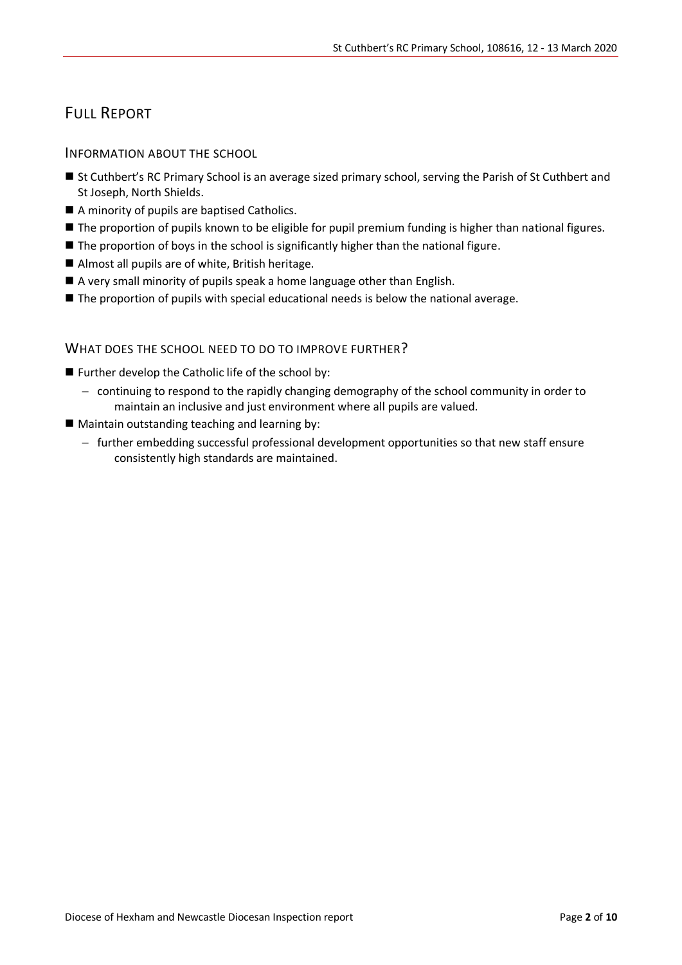## FULL REPORT

INFORMATION ABOUT THE SCHOOL

- St Cuthbert's RC Primary School is an average sized primary school, serving the Parish of St Cuthbert and St Joseph, North Shields.
- A minority of pupils are baptised Catholics.
- **The proportion of pupils known to be eligible for pupil premium funding is higher than national figures.**
- The proportion of boys in the school is significantly higher than the national figure.
- Almost all pupils are of white, British heritage.
- A very small minority of pupils speak a home language other than English.
- The proportion of pupils with special educational needs is below the national average.

#### WHAT DOES THE SCHOOL NEED TO DO TO IMPROVE FURTHER?

- **Further develop the Catholic life of the school by:** 
	- continuing to respond to the rapidly changing demography of the school community in order to maintain an inclusive and just environment where all pupils are valued.
- $\blacksquare$  Maintain outstanding teaching and learning by:
	- further embedding successful professional development opportunities so that new staff ensure consistently high standards are maintained.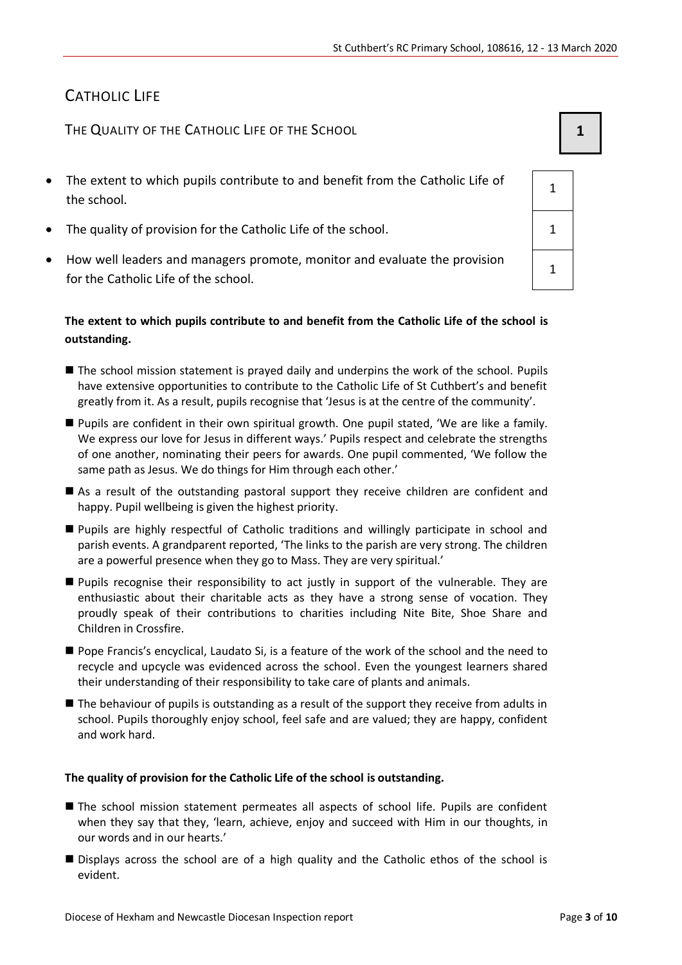## CATHOLIC LIFE

THE QUALITY OF THE CATHOLIC LIFE OF THE SCHOOL **1 1** 

- The extent to which pupils contribute to and benefit from the Catholic Life of the school.
- The quality of provision for the Catholic Life of the school.  $1 \quad 1$
- How well leaders and managers promote, monitor and evaluate the provision for the Catholic Life of the school.

#### **The extent to which pupils contribute to and benefit from the Catholic Life of the school is outstanding.**

- The school mission statement is prayed daily and underpins the work of the school. Pupils have extensive opportunities to contribute to the Catholic Life of St Cuthbert's and benefit greatly from it. As a result, pupils recognise that 'Jesus is at the centre of the community'.
- Pupils are confident in their own spiritual growth. One pupil stated, 'We are like a family. We express our love for Jesus in different ways.' Pupils respect and celebrate the strengths of one another, nominating their peers for awards. One pupil commented, 'We follow the same path as Jesus. We do things for Him through each other.'
- As a result of the outstanding pastoral support they receive children are confident and happy. Pupil wellbeing is given the highest priority.
- Pupils are highly respectful of Catholic traditions and willingly participate in school and parish events. A grandparent reported, 'The links to the parish are very strong. The children are a powerful presence when they go to Mass. They are very spiritual.'
- Pupils recognise their responsibility to act justly in support of the vulnerable. They are enthusiastic about their charitable acts as they have a strong sense of vocation. They proudly speak of their contributions to charities including Nite Bite, Shoe Share and Children in Crossfire.
- **Pope Francis's encyclical, Laudato Si, is a feature of the work of the school and the need to** recycle and upcycle was evidenced across the school. Even the youngest learners shared their understanding of their responsibility to take care of plants and animals.
- The behaviour of pupils is outstanding as a result of the support they receive from adults in school. Pupils thoroughly enjoy school, feel safe and are valued; they are happy, confident and work hard.

#### **The quality of provision for the Catholic Life of the school is outstanding.**

- The school mission statement permeates all aspects of school life. Pupils are confident when they say that they, 'learn, achieve, enjoy and succeed with Him in our thoughts, in our words and in our hearts.'
- Displays across the school are of a high quality and the Catholic ethos of the school is evident.

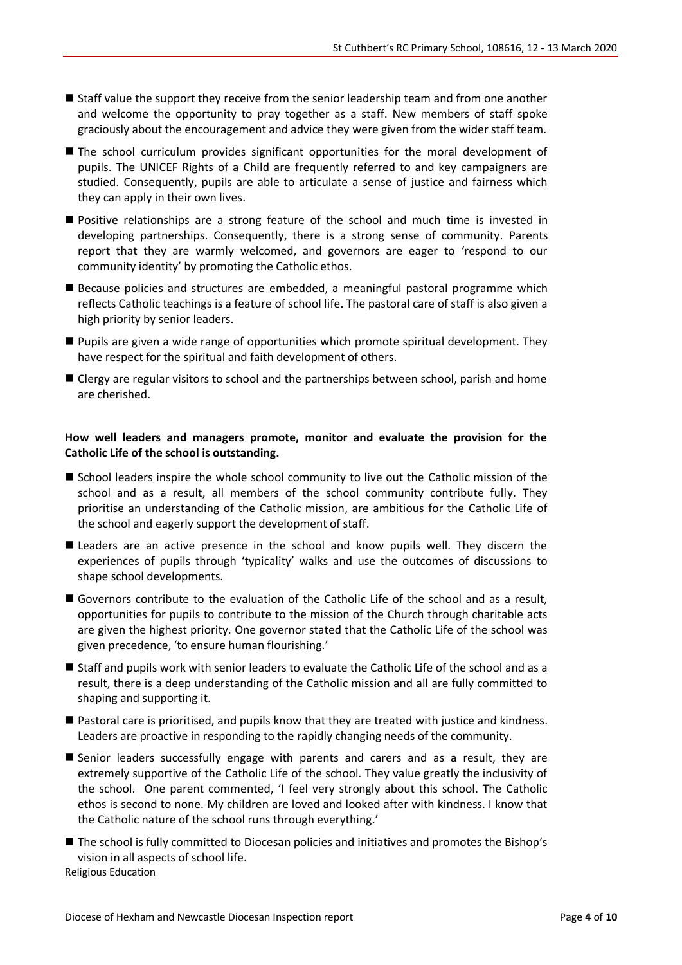- Staff value the support they receive from the senior leadership team and from one another and welcome the opportunity to pray together as a staff. New members of staff spoke graciously about the encouragement and advice they were given from the wider staff team.
- The school curriculum provides significant opportunities for the moral development of pupils. The UNICEF Rights of a Child are frequently referred to and key campaigners are studied. Consequently, pupils are able to articulate a sense of justice and fairness which they can apply in their own lives.
- **Positive relationships are a strong feature of the school and much time is invested in** developing partnerships. Consequently, there is a strong sense of community. Parents report that they are warmly welcomed, and governors are eager to 'respond to our community identity' by promoting the Catholic ethos.
- Because policies and structures are embedded, a meaningful pastoral programme which reflects Catholic teachings is a feature of school life. The pastoral care of staff is also given a high priority by senior leaders.
- Pupils are given a wide range of opportunities which promote spiritual development. They have respect for the spiritual and faith development of others.
- Clergy are regular visitors to school and the partnerships between school, parish and home are cherished.

#### **How well leaders and managers promote, monitor and evaluate the provision for the Catholic Life of the school is outstanding.**

- School leaders inspire the whole school community to live out the Catholic mission of the school and as a result, all members of the school community contribute fully. They prioritise an understanding of the Catholic mission, are ambitious for the Catholic Life of the school and eagerly support the development of staff.
- Leaders are an active presence in the school and know pupils well. They discern the experiences of pupils through 'typicality' walks and use the outcomes of discussions to shape school developments.
- Governors contribute to the evaluation of the Catholic Life of the school and as a result. opportunities for pupils to contribute to the mission of the Church through charitable acts are given the highest priority. One governor stated that the Catholic Life of the school was given precedence, 'to ensure human flourishing.'
- Staff and pupils work with senior leaders to evaluate the Catholic Life of the school and as a result, there is a deep understanding of the Catholic mission and all are fully committed to shaping and supporting it.
- Pastoral care is prioritised, and pupils know that they are treated with justice and kindness. Leaders are proactive in responding to the rapidly changing needs of the community.
- Senior leaders successfully engage with parents and carers and as a result, they are extremely supportive of the Catholic Life of the school. They value greatly the inclusivity of the school. One parent commented, 'I feel very strongly about this school. The Catholic ethos is second to none. My children are loved and looked after with kindness. I know that the Catholic nature of the school runs through everything.'
- The school is fully committed to Diocesan policies and initiatives and promotes the Bishop's vision in all aspects of school life. Religious Education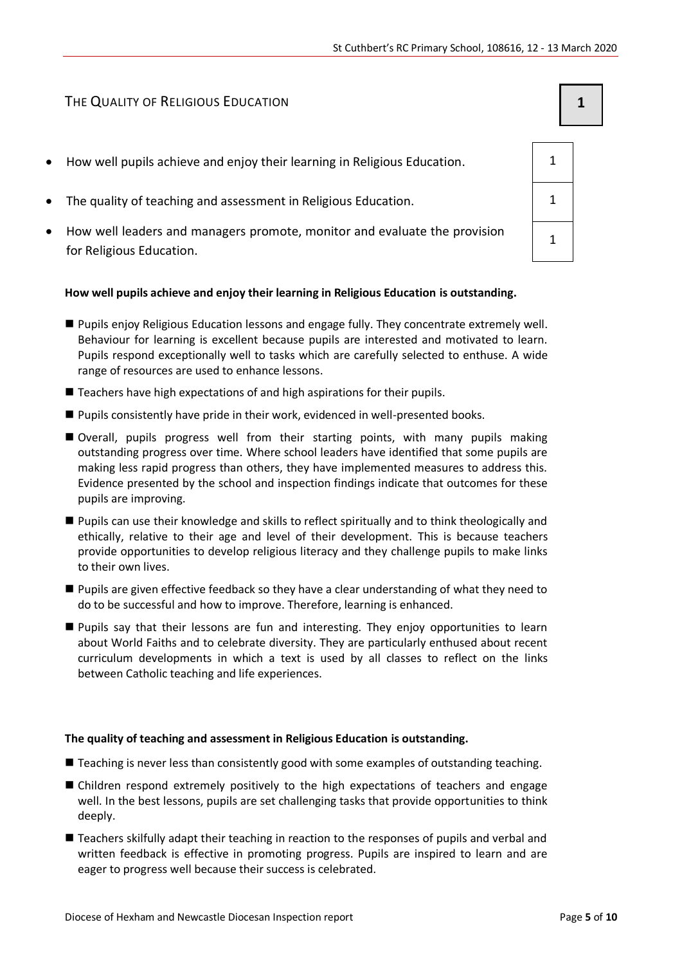#### THE QUALITY OF RELIGIOUS EDUCATION **1**

- How well pupils achieve and enjoy their learning in Religious Education. 1
- The quality of teaching and assessment in Religious Education. 1 1
- How well leaders and managers promote, monitor and evaluate the provision for Religious Education.

#### **How well pupils achieve and enjoy their learning in Religious Education is outstanding.**

- Pupils enjoy Religious Education lessons and engage fully. They concentrate extremely well. Behaviour for learning is excellent because pupils are interested and motivated to learn. Pupils respond exceptionally well to tasks which are carefully selected to enthuse. A wide range of resources are used to enhance lessons.
- Teachers have high expectations of and high aspirations for their pupils.
- **Pupils consistently have pride in their work, evidenced in well-presented books.**
- Overall, pupils progress well from their starting points, with many pupils making outstanding progress over time. Where school leaders have identified that some pupils are making less rapid progress than others, they have implemented measures to address this. Evidence presented by the school and inspection findings indicate that outcomes for these pupils are improving.
- Pupils can use their knowledge and skills to reflect spiritually and to think theologically and ethically, relative to their age and level of their development. This is because teachers provide opportunities to develop religious literacy and they challenge pupils to make links to their own lives.
- Pupils are given effective feedback so they have a clear understanding of what they need to do to be successful and how to improve. Therefore, learning is enhanced.
- Pupils say that their lessons are fun and interesting. They enjoy opportunities to learn about World Faiths and to celebrate diversity. They are particularly enthused about recent curriculum developments in which a text is used by all classes to reflect on the links between Catholic teaching and life experiences.

#### **The quality of teaching and assessment in Religious Education is outstanding.**

- Teaching is never less than consistently good with some examples of outstanding teaching.
- Children respond extremely positively to the high expectations of teachers and engage well. In the best lessons, pupils are set challenging tasks that provide opportunities to think deeply.
- Teachers skilfully adapt their teaching in reaction to the responses of pupils and verbal and written feedback is effective in promoting progress. Pupils are inspired to learn and are eager to progress well because their success is celebrated.

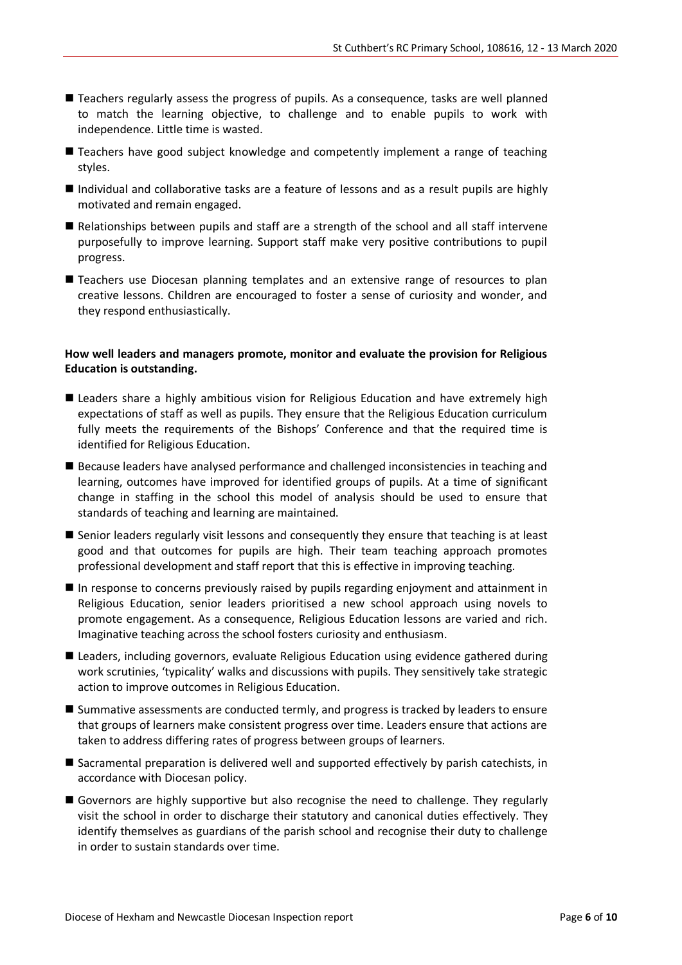- Teachers regularly assess the progress of pupils. As a consequence, tasks are well planned to match the learning objective, to challenge and to enable pupils to work with independence. Little time is wasted.
- Teachers have good subject knowledge and competently implement a range of teaching styles.
- Individual and collaborative tasks are a feature of lessons and as a result pupils are highly motivated and remain engaged.
- Relationships between pupils and staff are a strength of the school and all staff intervene purposefully to improve learning. Support staff make very positive contributions to pupil progress.
- Teachers use Diocesan planning templates and an extensive range of resources to plan creative lessons. Children are encouraged to foster a sense of curiosity and wonder, and they respond enthusiastically.

#### **How well leaders and managers promote, monitor and evaluate the provision for Religious Education is outstanding.**

- Leaders share a highly ambitious vision for Religious Education and have extremely high expectations of staff as well as pupils. They ensure that the Religious Education curriculum fully meets the requirements of the Bishops' Conference and that the required time is identified for Religious Education.
- Because leaders have analysed performance and challenged inconsistencies in teaching and learning, outcomes have improved for identified groups of pupils. At a time of significant change in staffing in the school this model of analysis should be used to ensure that standards of teaching and learning are maintained.
- Senior leaders regularly visit lessons and consequently they ensure that teaching is at least good and that outcomes for pupils are high. Their team teaching approach promotes professional development and staff report that this is effective in improving teaching.
- In response to concerns previously raised by pupils regarding enjoyment and attainment in Religious Education, senior leaders prioritised a new school approach using novels to promote engagement. As a consequence, Religious Education lessons are varied and rich. Imaginative teaching across the school fosters curiosity and enthusiasm.
- Leaders, including governors, evaluate Religious Education using evidence gathered during work scrutinies, 'typicality' walks and discussions with pupils. They sensitively take strategic action to improve outcomes in Religious Education.
- Summative assessments are conducted termly, and progress is tracked by leaders to ensure that groups of learners make consistent progress over time. Leaders ensure that actions are taken to address differing rates of progress between groups of learners.
- Sacramental preparation is delivered well and supported effectively by parish catechists, in accordance with Diocesan policy.
- Governors are highly supportive but also recognise the need to challenge. They regularly visit the school in order to discharge their statutory and canonical duties effectively. They identify themselves as guardians of the parish school and recognise their duty to challenge in order to sustain standards over time.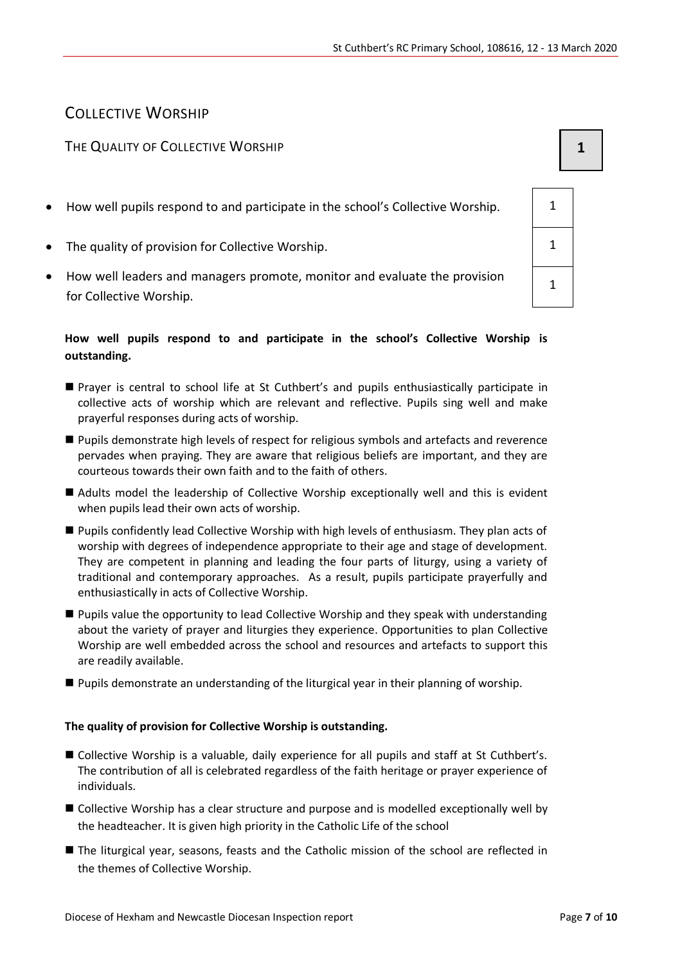### COLLECTIVE WORSHIP

#### THE QUALITY OF COLLECTIVE WORSHIP **1 1**

- How well pupils respond to and participate in the school's Collective Worship.  $\vert$  1
- The quality of provision for Collective Worship. 1
- How well leaders and managers promote, monitor and evaluate the provision for Collective Worship.

#### **How well pupils respond to and participate in the school's Collective Worship is outstanding.**

- Prayer is central to school life at St Cuthbert's and pupils enthusiastically participate in collective acts of worship which are relevant and reflective. Pupils sing well and make prayerful responses during acts of worship.
- Pupils demonstrate high levels of respect for religious symbols and artefacts and reverence pervades when praying. They are aware that religious beliefs are important, and they are courteous towards their own faith and to the faith of others.
- Adults model the leadership of Collective Worship exceptionally well and this is evident when pupils lead their own acts of worship.
- Pupils confidently lead Collective Worship with high levels of enthusiasm. They plan acts of worship with degrees of independence appropriate to their age and stage of development. They are competent in planning and leading the four parts of liturgy, using a variety of traditional and contemporary approaches. As a result, pupils participate prayerfully and enthusiastically in acts of Collective Worship.
- Pupils value the opportunity to lead Collective Worship and they speak with understanding about the variety of prayer and liturgies they experience. Opportunities to plan Collective Worship are well embedded across the school and resources and artefacts to support this are readily available.
- **Pupils demonstrate an understanding of the liturgical year in their planning of worship.**

#### **The quality of provision for Collective Worship is outstanding.**

- Collective Worship is a valuable, daily experience for all pupils and staff at St Cuthbert's. The contribution of all is celebrated regardless of the faith heritage or prayer experience of individuals.
- Collective Worship has a clear structure and purpose and is modelled exceptionally well by the headteacher. It is given high priority in the Catholic Life of the school
- The liturgical year, seasons, feasts and the Catholic mission of the school are reflected in the themes of Collective Worship.

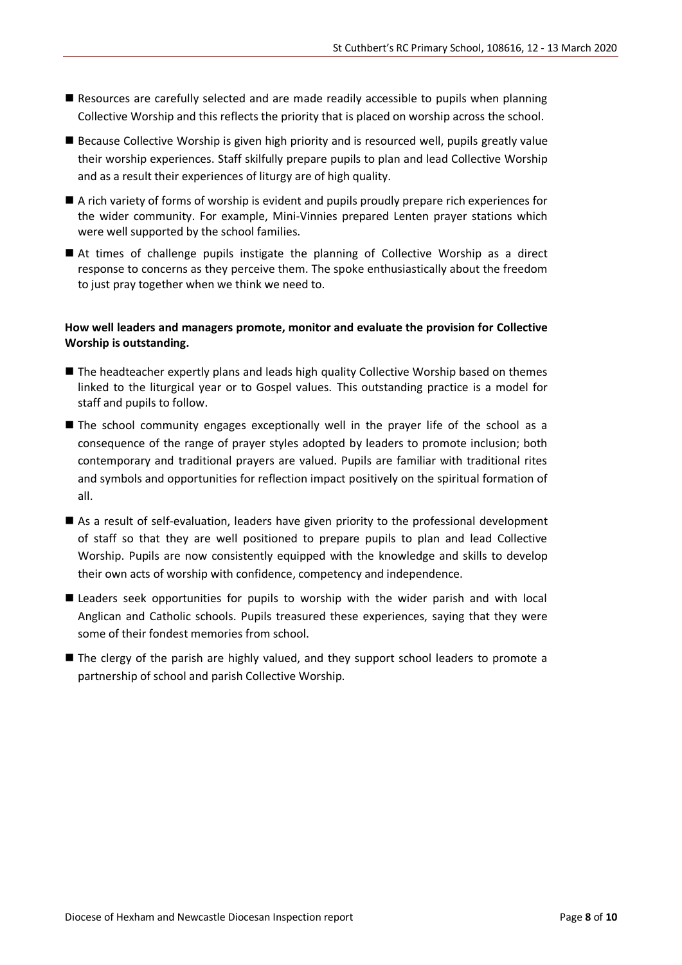- Resources are carefully selected and are made readily accessible to pupils when planning Collective Worship and this reflects the priority that is placed on worship across the school.
- Because Collective Worship is given high priority and is resourced well, pupils greatly value their worship experiences. Staff skilfully prepare pupils to plan and lead Collective Worship and as a result their experiences of liturgy are of high quality.
- A rich variety of forms of worship is evident and pupils proudly prepare rich experiences for the wider community. For example, Mini-Vinnies prepared Lenten prayer stations which were well supported by the school families.
- At times of challenge pupils instigate the planning of Collective Worship as a direct response to concerns as they perceive them. The spoke enthusiastically about the freedom to just pray together when we think we need to.

#### **How well leaders and managers promote, monitor and evaluate the provision for Collective Worship is outstanding.**

- The headteacher expertly plans and leads high quality Collective Worship based on themes linked to the liturgical year or to Gospel values. This outstanding practice is a model for staff and pupils to follow.
- The school community engages exceptionally well in the prayer life of the school as a consequence of the range of prayer styles adopted by leaders to promote inclusion; both contemporary and traditional prayers are valued. Pupils are familiar with traditional rites and symbols and opportunities for reflection impact positively on the spiritual formation of all.
- As a result of self-evaluation, leaders have given priority to the professional development of staff so that they are well positioned to prepare pupils to plan and lead Collective Worship. Pupils are now consistently equipped with the knowledge and skills to develop their own acts of worship with confidence, competency and independence.
- Leaders seek opportunities for pupils to worship with the wider parish and with local Anglican and Catholic schools. Pupils treasured these experiences, saying that they were some of their fondest memories from school.
- The clergy of the parish are highly valued, and they support school leaders to promote a partnership of school and parish Collective Worship.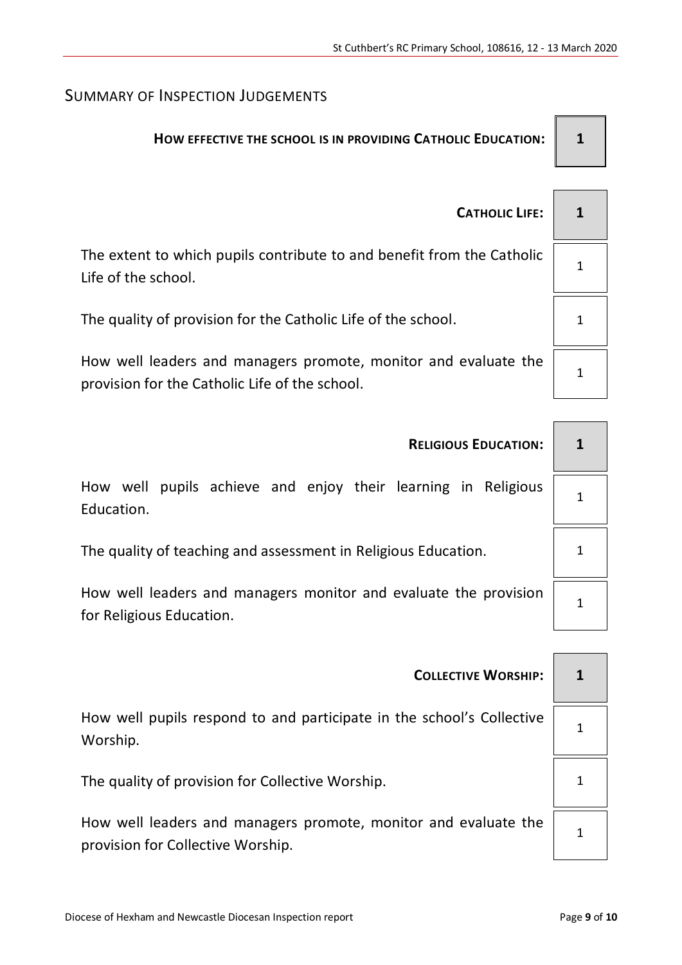## SUMMARY OF INSPECTION JUDGEMENTS

## **HOW EFFECTIVE THE SCHOOL IS IN PROVIDING CATHOLIC EDUCATION:**  $\parallel$  **1**

 $\overline{ }$ 

| <b>CATHOLIC LIFE:</b>                                                                                             |  |
|-------------------------------------------------------------------------------------------------------------------|--|
| The extent to which pupils contribute to and benefit from the Catholic<br>Life of the school.                     |  |
| The quality of provision for the Catholic Life of the school.                                                     |  |
| How well leaders and managers promote, monitor and evaluate the<br>provision for the Catholic Life of the school. |  |

| <b>RELIGIOUS EDUCATION:</b>                                                                  | 1 |  |
|----------------------------------------------------------------------------------------------|---|--|
| How well pupils achieve and enjoy their learning in Religious<br>Education.                  |   |  |
| The quality of teaching and assessment in Religious Education.                               |   |  |
| How well leaders and managers monitor and evaluate the provision<br>for Religious Education. |   |  |

| <b>COLLECTIVE WORSHIP:</b>                                                                           | 1 |
|------------------------------------------------------------------------------------------------------|---|
| How well pupils respond to and participate in the school's Collective<br>Worship.                    |   |
| The quality of provision for Collective Worship.                                                     |   |
| How well leaders and managers promote, monitor and evaluate the<br>provision for Collective Worship. |   |